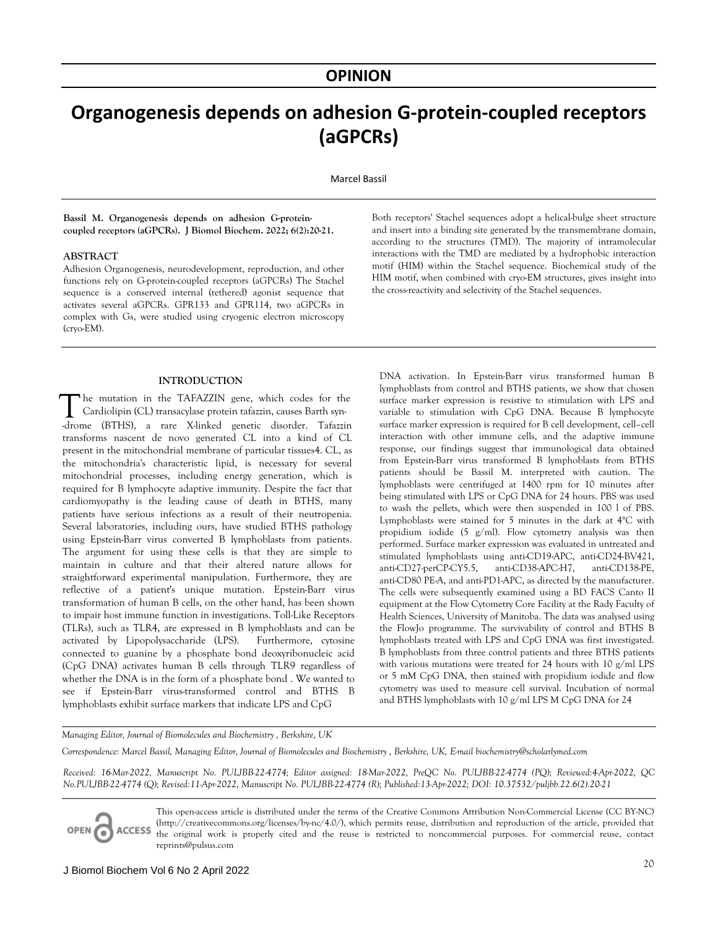# **Organogenesis depends on adhesion G-protein-coupled receptors (aGPCRs)**

Marcel Bassil

**Bassil M. Organogenesis depends on adhesion G-proteincoupled receptors (aGPCRs). J Biomol Biochem. 2022; 6(2):20-21.** 

#### **ABSTRACT**

Adhesion Organogenesis, neurodevelopment, reproduction, and other functions rely on G-protein-coupled receptors (aGPCRs) The Stachel sequence is a conserved internal (tethered) agonist sequence that activates several aGPCRs. GPR133 and GPR114, two aGPCRs in complex with Gs, were studied using cryogenic electron microscopy (cryo-EM).

#### **INTRODUCTION**

he mutation in the TAFAZZIN gene, which codes for the Cardiolipin (CL) transacylase protein tafazzin, causes Barth syn- The mutation in the TAFAZZIN gene, which codes for the Cardiolipin (CL) transacylase protein tafazzin, causes Barth syn-<br>-drome (BTHS), a rare X-linked genetic disorder. Tafazzin transforms nascent de novo generated CL into a kind of CL present in the mitochondrial membrane of particular tissues4. CL, as the mitochondria's characteristic lipid, is necessary for several mitochondrial processes, including energy generation, which is required for B lymphocyte adaptive immunity. Despite the fact that cardiomyopathy is the leading cause of death in BTHS, many patients have serious infections as a result of their neutropenia. Several laboratories, including ours, have studied BTHS pathology using Epstein-Barr virus converted B lymphoblasts from patients. The argument for using these cells is that they are simple to maintain in culture and that their altered nature allows for straightforward experimental manipulation. Furthermore, they are reflective of a patient's unique mutation. Epstein-Barr virus transformation of human B cells, on the other hand, has been shown to impair host immune function in investigations. Toll-Like Receptors (TLRs), such as TLR4, are expressed in B lymphoblasts and can be activated by Lipopolysaccharide (LPS). Furthermore, cytosine connected to guanine by a phosphate bond deoxyribonucleic acid (CpG DNA) activates human B cells through TLR9 regardless of whether the DNA is in the form of a phosphate bond . We wanted to see if Epstein-Barr virus-transformed control and BTHS B lymphoblasts exhibit surface markers that indicate LPS and CpG

Both receptors' Stachel sequences adopt a helical-bulge sheet structure and insert into a binding site generated by the transmembrane domain, according to the structures (TMD). The majority of intramolecular interactions with the TMD are mediated by a hydrophobic interaction motif (HIM) within the Stachel sequence. Biochemical study of the HIM motif, when combined with cryo-EM structures, gives insight into the cross-reactivity and selectivity of the Stachel sequences.

DNA activation. In Epstein-Barr virus transformed human B lymphoblasts from control and BTHS patients, we show that chosen surface marker expression is resistive to stimulation with LPS and variable to stimulation with CpG DNA. Because B lymphocyte surface marker expression is required for B cell development, cell–cell interaction with other immune cells, and the adaptive immune response, our findings suggest that immunological data obtained from Epstein-Barr virus transformed B lymphoblasts from BTHS patients should be Bassil M. interpreted with caution. The lymphoblasts were centrifuged at 1400 rpm for 10 minutes after being stimulated with LPS or CpG DNA for 24 hours. PBS was used to wash the pellets, which were then suspended in 100 l of PBS. Lymphoblasts were stained for 5 minutes in the dark at 4°C with propidium iodide (5  $g/ml$ ). Flow cytometry analysis was then performed. Surface marker expression was evaluated in untreated and stimulated lymphoblasts using anti-CD19-APC, anti-CD24-BV421, anti-CD27-perCP-CY5.5, anti-CD38-APC-H7, anti-CD138-PE, anti-CD80 PE-A, and anti-PD1-APC, as directed by the manufacturer. The cells were subsequently examined using a BD FACS Canto II equipment at the Flow Cytometry Core Facility at the Rady Faculty of Health Sciences, University of Manitoba. The data was analysed using the FlowJo programme. The survivability of control and BTHS B lymphoblasts treated with LPS and CpG DNA was first investigated. B lymphoblasts from three control patients and three BTHS patients with various mutations were treated for 24 hours with 10 g/ml LPS or 5 mM CpG DNA, then stained with propidium iodide and flow cytometry was used to measure cell survival. Incubation of normal and BTHS lymphoblasts with 10 g/ml LPS M CpG DNA for 24

## *Managing Editor, Journal of Biomolecules and Biochemistry , Berkshire, UK*

*Correspondence: Marcel Bassil, Managing Editor, Journal of Biomolecules and Biochemistry , Berkshire, UK, E-mail biochemistry@scholarlymed.com*

*Received: 16-Mar-2022, Manuscript No. PULJBB-22-4774; Editor assigned: 18-Mar-2022, PreQC No. PULJBB-22-4774 (PQ); Reviewed:4-Apr-2022, QC No.PULJBB-22-4774 (Q); Revised:11-Apr-2022, Manuscript No. PULJBB-22-4774 (R); Published:13-Apr-2022; DOI: 10.37532/puljbb.22.6(2).20-21*

This open-access article is distributed under the terms of the Creative Commons Attribution Non-Commercial License (CC BY-NC) (http://creativecommons.org/licenses/by-nc/4.0/), which permits reuse, distribution and reproduction of the article, provided that **ACCESS** the original work is properly cited and the reuse is restricted to noncommercial purposes. For commercial reuse, contact reprints@pulsus.com

OPEN C